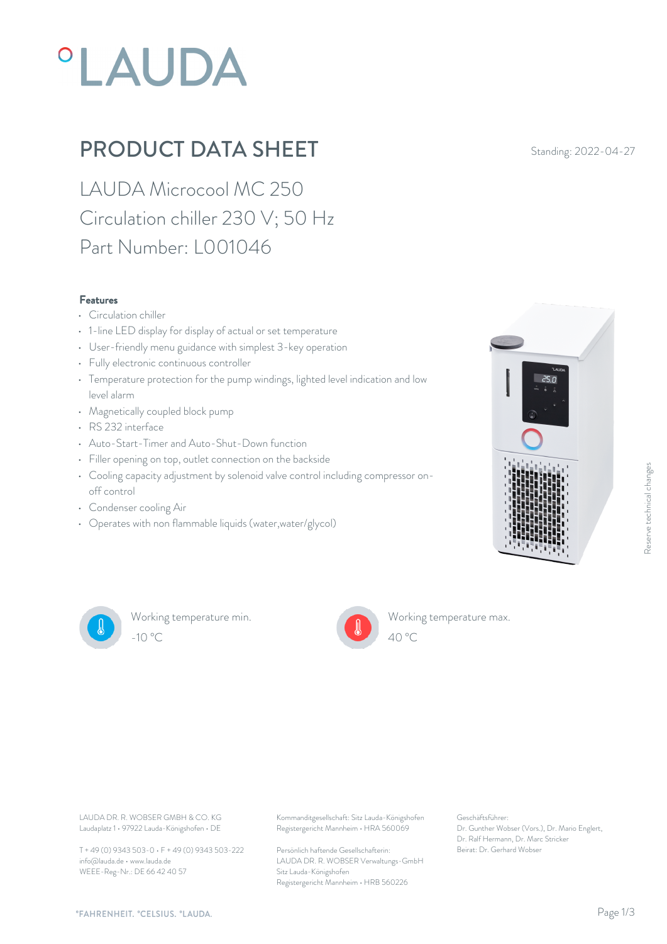# **°LAUDA**

### PRODUCT DATA SHEET Standing: 2022-04-27

LAUDA Microcool MC 250 Circulation chiller 230 V; 50 Hz Part Number: L001046

#### Features

- Circulation chiller
- 1-line LED display for display of actual or set temperature
- User-friendly menu guidance with simplest 3-key operation
- Fully electronic continuous controller
- Temperature protection for the pump windings, lighted level indication and low level alarm
- Magnetically coupled block pump
- RS 232 interface
- Auto-Start-Timer and Auto-Shut-Down function
- Filler opening on top, outlet connection on the backside
- Cooling capacity adjustment by solenoid valve control including compressor onoff control
- Condenser cooling Air
- Operates with non flammable liquids (water,water/glycol)





Working temperature min. -10 °C 40 °C



Working temperature max.

Laudaplatz 1 • 97922 Lauda-Königshofen • DE

T + 49 (0) 9343 503-0 • F + 49 (0) 9343 503-222 info@lauda.de • www.lauda.de WEEE-Reg-Nr.: DE 66 42 40 57

LAUDA DR. R. WOBSER GMBH & CO. KG Kommanditgesellschaft: Sitz Lauda-Königshofen Geschäftsführer: Registergericht Mannheim • HRA 560069

> Persönlich haftende Gesellschafterin: Beirat: Dr. Gerhard Wobse LAUDA DR. R. WOBSER Verwaltungs-GmbH Sitz Lauda-Königshofen Registergericht Mannheim • HRB 560226

Geschäftsführer: Dr. Gunther Wobser (Vors.), Dr. Mario Englert, Dr. Ralf Hermann, Dr. Marc Stricker

 $40^{\circ}$ C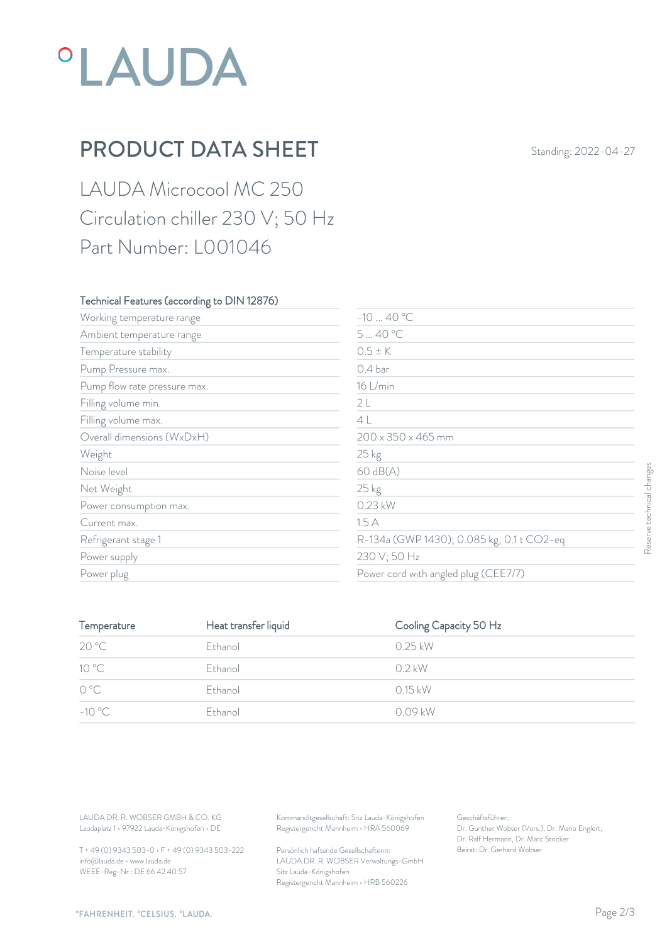# *°LAUDA*

### PRODUCT DATA SHEET Standing: 2022-04-27

LAUDA Microcool MC 250 Circulation chiller 230 V; 50 Hz Part Number: L001046

#### Technical Features (according to DIN 12876)

| Working temperature range                                                        |                      | $-1040 °C$                                                                             |                                                                                                           |  |
|----------------------------------------------------------------------------------|----------------------|----------------------------------------------------------------------------------------|-----------------------------------------------------------------------------------------------------------|--|
| Ambient temperature range                                                        |                      | 540 °C                                                                                 |                                                                                                           |  |
| Temperature stability                                                            |                      | $0.5 \pm K$                                                                            |                                                                                                           |  |
| Pump Pressure max.                                                               |                      | 0.4 bar                                                                                |                                                                                                           |  |
| Pump flow rate pressure max.                                                     |                      | 16 L/min                                                                               |                                                                                                           |  |
| Filling volume min.<br>Filling volume max.                                       |                      | 2L                                                                                     | 4L                                                                                                        |  |
|                                                                                  |                      |                                                                                        |                                                                                                           |  |
| Overall dimensions (WxDxH)                                                       |                      |                                                                                        | $200 \times 350 \times 465$ mm                                                                            |  |
| Weight                                                                           |                      | 25 kg                                                                                  |                                                                                                           |  |
| Noise level                                                                      |                      | 60 dB(A)                                                                               |                                                                                                           |  |
| Net Weight                                                                       |                      | 25 kg                                                                                  |                                                                                                           |  |
| Power consumption max.                                                           |                      | 0.23 kW                                                                                |                                                                                                           |  |
| Current max.                                                                     |                      | 1.5A                                                                                   |                                                                                                           |  |
| Refrigerant stage 1<br>Power supply<br>Power plug                                |                      |                                                                                        | R-134a (GWP 1430); 0.085 kg; 0.1 t CO2-eq<br>230 V; 50 Hz<br>Power cord with angled plug (CEE7/7)         |  |
|                                                                                  |                      |                                                                                        |                                                                                                           |  |
|                                                                                  |                      |                                                                                        |                                                                                                           |  |
| Temperature                                                                      | Heat transfer liquid |                                                                                        | Cooling Capacity 50 Hz                                                                                    |  |
| 20 °C                                                                            | Ethanol              | 0.25 kW                                                                                |                                                                                                           |  |
| 10 °C                                                                            | Ethanol              | $0.2$ kW                                                                               |                                                                                                           |  |
| $O^{\circ}C$                                                                     | Ethanol              | 0.15 kW                                                                                |                                                                                                           |  |
| $-10^{\circ}$ C                                                                  | Ethanol              | 0.09 kW                                                                                |                                                                                                           |  |
|                                                                                  |                      |                                                                                        |                                                                                                           |  |
| LAUDA DR. R. WOBSER GMBH & CO. KG<br>Laudaplatz 1 · 97922 Lauda-Königshofen · DE |                      | Kommanditgesellschaft: Sitz Lauda-Königshofen<br>Registergericht Mannheim · HRA 560069 | Geschäftsführer:<br>Dr. Gunther Wobser (Vors.), Dr. Mario Englert,<br>Dr. Ralf Hermann, Dr. Marc Stricker |  |
| T + 49 (0) 9343 503-0 · F + 49 (0) 9343 503-222                                  |                      | Persönlich haftende Gesellschafterin:                                                  | Beirat: Dr. Gerhard Wobser                                                                                |  |

| Temperature     | Heat transfer liquid | Cooling Capacity 50 Hz |  |
|-----------------|----------------------|------------------------|--|
| 20 °C           | Ethanol              | $0.25$ kW              |  |
| 10 °C           | Ethanol              | 0.2 kW                 |  |
| $O^{\circ}C$    | Ethanol              | $0.15$ kW              |  |
| $-10^{\circ}$ C | Ethanol              | 0.09 kW                |  |
|                 |                      |                        |  |

T + 49 (0) 9343 503-0 • F + 49 (0) 9343 503-222 info@lauda.de • www.lauda.de WEEE-Reg-Nr.: DE 66 42 40 57

Persönlich haftende Gesellschafterin: Beirat: Dr. Gerhard Wobser LAUDA DR. R. WOBSER Verwaltungs-GmbH Sitz Lauda-Königshofen Registergericht Mannheim • HRB 560226